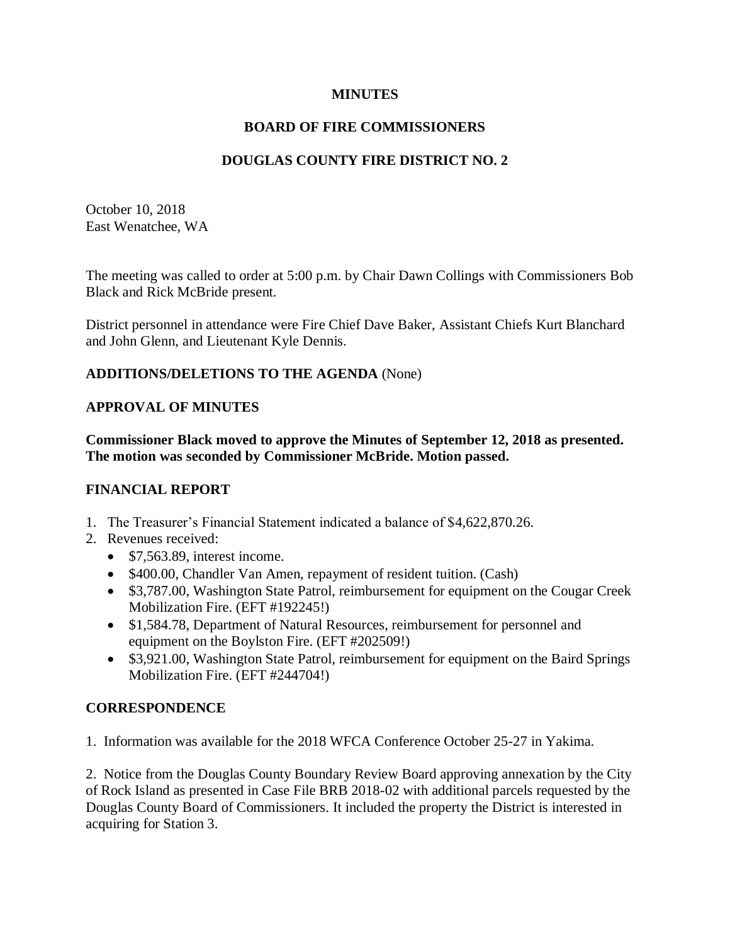### **MINUTES**

# **BOARD OF FIRE COMMISSIONERS**

# **DOUGLAS COUNTY FIRE DISTRICT NO. 2**

October 10, 2018 East Wenatchee, WA

The meeting was called to order at 5:00 p.m. by Chair Dawn Collings with Commissioners Bob Black and Rick McBride present.

District personnel in attendance were Fire Chief Dave Baker, Assistant Chiefs Kurt Blanchard and John Glenn, and Lieutenant Kyle Dennis.

## **ADDITIONS/DELETIONS TO THE AGENDA** (None)

## **APPROVAL OF MINUTES**

**Commissioner Black moved to approve the Minutes of September 12, 2018 as presented. The motion was seconded by Commissioner McBride. Motion passed.**

### **FINANCIAL REPORT**

- 1. The Treasurer's Financial Statement indicated a balance of \$4,622,870.26.
- 2. Revenues received:
	- \$7,563.89, interest income.
	- \$400.00, Chandler Van Amen, repayment of resident tuition. (Cash)
	- \$3,787.00, Washington State Patrol, reimbursement for equipment on the Cougar Creek Mobilization Fire. (EFT #192245!)
	- \$1,584.78, Department of Natural Resources, reimbursement for personnel and equipment on the Boylston Fire. (EFT #202509!)
	- \$3,921.00, Washington State Patrol, reimbursement for equipment on the Baird Springs Mobilization Fire. (EFT #244704!)

# **CORRESPONDENCE**

1. Information was available for the 2018 WFCA Conference October 25-27 in Yakima.

2. Notice from the Douglas County Boundary Review Board approving annexation by the City of Rock Island as presented in Case File BRB 2018-02 with additional parcels requested by the Douglas County Board of Commissioners. It included the property the District is interested in acquiring for Station 3.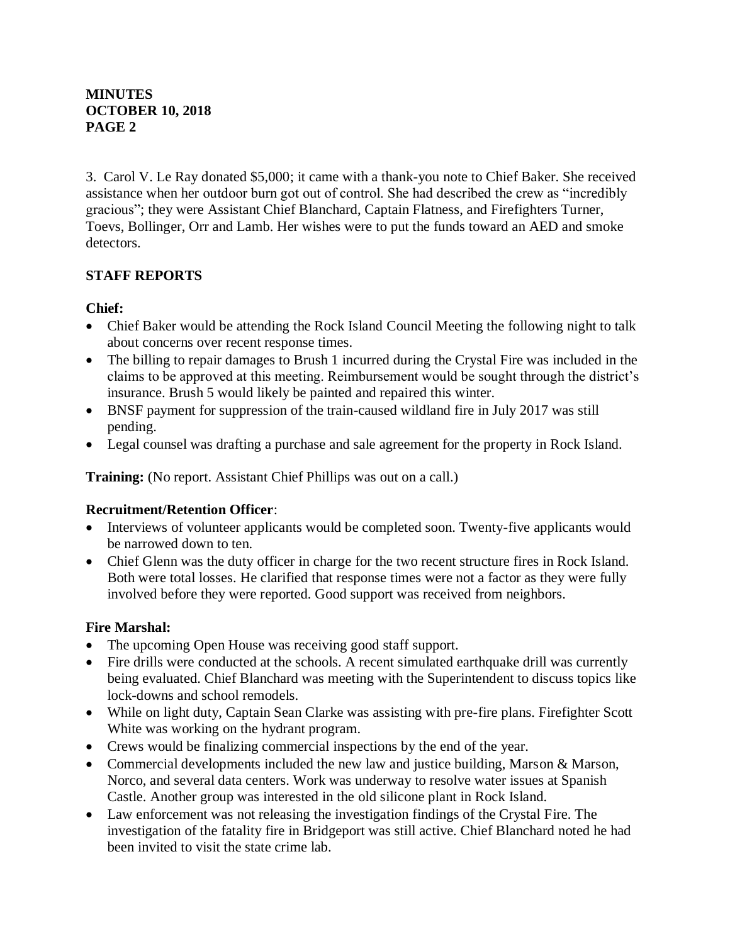## **MINUTES OCTOBER 10, 2018 PAGE 2**

3. Carol V. Le Ray donated \$5,000; it came with a thank-you note to Chief Baker. She received assistance when her outdoor burn got out of control. She had described the crew as "incredibly gracious"; they were Assistant Chief Blanchard, Captain Flatness, and Firefighters Turner, Toevs, Bollinger, Orr and Lamb. Her wishes were to put the funds toward an AED and smoke detectors.

# **STAFF REPORTS**

## **Chief:**

- Chief Baker would be attending the Rock Island Council Meeting the following night to talk about concerns over recent response times.
- The billing to repair damages to Brush 1 incurred during the Crystal Fire was included in the claims to be approved at this meeting. Reimbursement would be sought through the district's insurance. Brush 5 would likely be painted and repaired this winter.
- BNSF payment for suppression of the train-caused wildland fire in July 2017 was still pending.
- Legal counsel was drafting a purchase and sale agreement for the property in Rock Island.

**Training:** (No report. Assistant Chief Phillips was out on a call.)

### **Recruitment/Retention Officer**:

- Interviews of volunteer applicants would be completed soon. Twenty-five applicants would be narrowed down to ten.
- Chief Glenn was the duty officer in charge for the two recent structure fires in Rock Island. Both were total losses. He clarified that response times were not a factor as they were fully involved before they were reported. Good support was received from neighbors.

# **Fire Marshal:**

- The upcoming Open House was receiving good staff support.
- Fire drills were conducted at the schools. A recent simulated earthquake drill was currently being evaluated. Chief Blanchard was meeting with the Superintendent to discuss topics like lock-downs and school remodels.
- While on light duty, Captain Sean Clarke was assisting with pre-fire plans. Firefighter Scott White was working on the hydrant program.
- Crews would be finalizing commercial inspections by the end of the year.
- Commercial developments included the new law and justice building, Marson & Marson, Norco, and several data centers. Work was underway to resolve water issues at Spanish Castle. Another group was interested in the old silicone plant in Rock Island.
- Law enforcement was not releasing the investigation findings of the Crystal Fire. The investigation of the fatality fire in Bridgeport was still active. Chief Blanchard noted he had been invited to visit the state crime lab.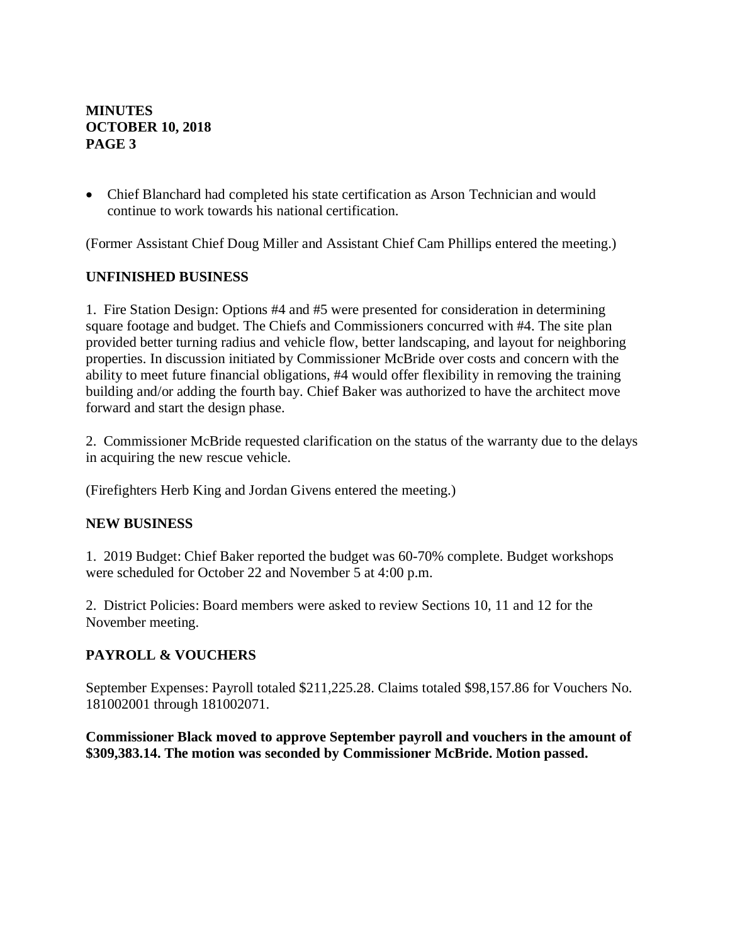## **MINUTES OCTOBER 10, 2018 PAGE 3**

• Chief Blanchard had completed his state certification as Arson Technician and would continue to work towards his national certification.

(Former Assistant Chief Doug Miller and Assistant Chief Cam Phillips entered the meeting.)

### **UNFINISHED BUSINESS**

1. Fire Station Design: Options #4 and #5 were presented for consideration in determining square footage and budget. The Chiefs and Commissioners concurred with #4. The site plan provided better turning radius and vehicle flow, better landscaping, and layout for neighboring properties. In discussion initiated by Commissioner McBride over costs and concern with the ability to meet future financial obligations, #4 would offer flexibility in removing the training building and/or adding the fourth bay. Chief Baker was authorized to have the architect move forward and start the design phase.

2. Commissioner McBride requested clarification on the status of the warranty due to the delays in acquiring the new rescue vehicle.

(Firefighters Herb King and Jordan Givens entered the meeting.)

#### **NEW BUSINESS**

1. 2019 Budget: Chief Baker reported the budget was 60-70% complete. Budget workshops were scheduled for October 22 and November 5 at 4:00 p.m.

2. District Policies: Board members were asked to review Sections 10, 11 and 12 for the November meeting.

### **PAYROLL & VOUCHERS**

September Expenses: Payroll totaled \$211,225.28. Claims totaled \$98,157.86 for Vouchers No. 181002001 through 181002071.

#### **Commissioner Black moved to approve September payroll and vouchers in the amount of \$309,383.14. The motion was seconded by Commissioner McBride. Motion passed.**